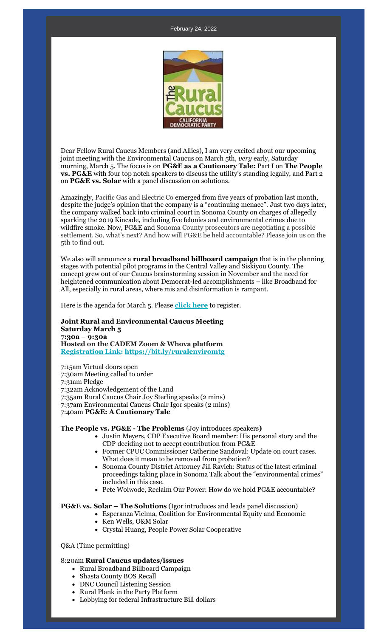#### February 24, 2022



Dear Fellow Rural Caucus Members (and Allies), I am very excited about our upcoming joint meeting with the Environmental Caucus on March 5th, *very* early, Saturday morning, March 5. The focus is on **PG&E as a Cautionary Tale:** Part I on **The People vs. PG&E** with four top notch speakers to discuss the utility's standing legally, and Part 2 on **PG&E vs. Solar** with a panel discussion on solutions.

Amazingly, Pacific Gas and Electric Co emerged from five years of probation last month, despite the judge's opinion that the company is a "continuing menace". Just two days later, the company walked back into criminal court in Sonoma County on charges of allegedly sparking the 2019 Kincade, including five felonies and environmental crimes due to wildfire smoke. Now, PG&E and Sonoma County prosecutors are negotiating a possible settlement. So, what's next? And how will PG&E be held accountable? Please join us on the 5th to find out.

We also will announce a **rural broadband billboard campaign** that is in the planning stages with potential pilot programs in the Central Valley and Siskiyou County. The concept grew out of our Caucus brainstorming session in November and the need for heightened communication about Democrat-led accomplishments – like Broadband for All, especially in rural areas, where mis and disinformation is rampant.

Here is the agenda for March 5. Please **[click here](https://r20.rs6.net/tn.jsp?f=001dxXjSOKklOjRTKWbECys_Puxrs3HthUqnNUtDkiEQG7dAuMC1XeHLD5yDHTMjv-MVdK7zBYyUOkSNkFpmkWnpGMCKHpzAdN7zwFx0n4SIg4_MP-Ft153uConZPSg8XtopKW8lK2hNnnRS0VOH5Bzob_RY1y8gBpzaI693vcxNB3bmLk4pOcNjYvmnC_7TfzGDrEAy_6vm3sAWZN8UUa10ppRj8cQIytM&c=tp9vTLD-yrOPJZISah9b5mTCVCs0lQG6BpAFwGkSQisZISoh97xiRQ==&ch=QSmF7vuP5UFmuYQCEvFbe53JV8COnnVA4uVOKW0nAEmkIkVhJmGHMA==)** to register.

### **Joint Rural and Environmental Caucus Meeting Saturday March 5 7:30a – 9:30a Hosted on the CADEM Zoom & Whova platform [Registration Link:](https://r20.rs6.net/tn.jsp?f=001dxXjSOKklOjRTKWbECys_Puxrs3HthUqnNUtDkiEQG7dAuMC1XeHLD5yDHTMjv-MVdK7zBYyUOkSNkFpmkWnpGMCKHpzAdN7zwFx0n4SIg4_MP-Ft153uConZPSg8XtopKW8lK2hNnnRS0VOH5Bzob_RY1y8gBpzaI693vcxNB3bmLk4pOcNjYvmnC_7TfzGDrEAy_6vm3sAWZN8UUa10ppRj8cQIytM&c=tp9vTLD-yrOPJZISah9b5mTCVCs0lQG6BpAFwGkSQisZISoh97xiRQ==&ch=QSmF7vuP5UFmuYQCEvFbe53JV8COnnVA4uVOKW0nAEmkIkVhJmGHMA==) [https://bit.ly/ruralenviromtg](https://r20.rs6.net/tn.jsp?f=001dxXjSOKklOjRTKWbECys_Puxrs3HthUqnNUtDkiEQG7dAuMC1XeHLD5yDHTMjv-MahA4SQokVTYbL4MXEn9FAccDbcszyW_3MdXctfnI2lpQ-Dovz4eXINTcjjirr4PMfMIsRolhUDhtFi6xbcMlCw==&c=tp9vTLD-yrOPJZISah9b5mTCVCs0lQG6BpAFwGkSQisZISoh97xiRQ==&ch=QSmF7vuP5UFmuYQCEvFbe53JV8COnnVA4uVOKW0nAEmkIkVhJmGHMA==)**

7:15am Virtual doors open 7:30am Meeting called to order 7:31am Pledge 7:32am Acknowledgement of the Land 7:35am Rural Caucus Chair Joy Sterling speaks (2 mins) 7:37am Environmental Caucus Chair Igor speaks (2 mins) 7:40am **PG&E: A Cautionary Tale**

**The People vs. PG&E - The Problems** (Joy introduces speakers**)**

- Justin Meyers, CDP Executive Board member: His personal story and the CDP deciding not to accept contribution from PG&E
- Former CPUC Commissioner Catherine Sandoval: Update on court cases. What does it mean to be removed from probation?
- Sonoma County District Attorney Jill Ravich: Status of the latest criminal proceedings taking place in Sonoma Talk about the "environmental crimes" included in this case.
- Pete Woiwode, Reclaim Our Power: How do we hold PG&E accountable?

## **PG&E vs. Solar – The Solutions** (Igor introduces and leads panel discussion)

- Esperanza Vielma, Coalition for Environmental Equity and Economic
	- Ken Wells, O&M Solar
	- Crystal Huang, People Power Solar Cooperative

## Q&A (Time permitting)

## 8:20am **Rural Caucus updates/issues**

- Rural Broadband Billboard Campaign
- Shasta County BOS Recall
- DNC Council Listening Session
- Rural Plank in the Party Platform
- Lobbying for federal Infrastructure Bill dollars